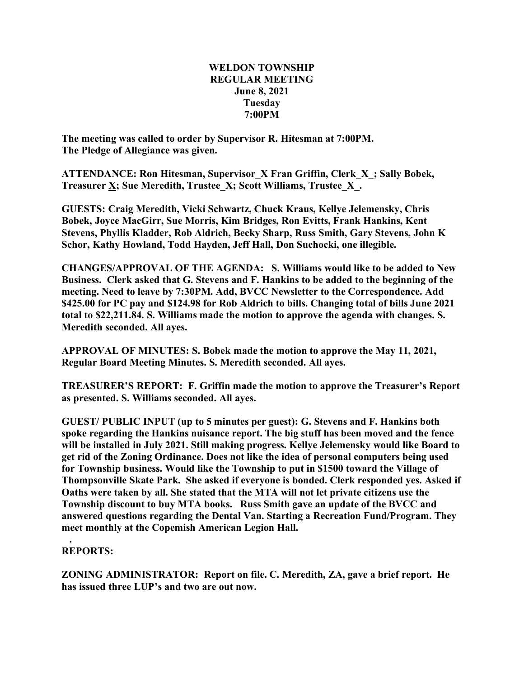## **WELDON TOWNSHIP REGULAR MEETING June 8, 2021 Tuesday 7:00PM**

**The meeting was called to order by Supervisor R. Hitesman at 7:00PM. The Pledge of Allegiance was given.**

**ATTENDANCE: Ron Hitesman, Supervisor\_X Fran Griffin, Clerk\_X\_; Sally Bobek, Treasurer X; Sue Meredith, Trustee\_X; Scott Williams, Trustee\_X\_.**

**GUESTS: Craig Meredith, Vicki Schwartz, Chuck Kraus, Kellye Jelemensky, Chris Bobek, Joyce MacGirr, Sue Morris, Kim Bridges, Ron Evitts, Frank Hankins, Kent Stevens, Phyllis Kladder, Rob Aldrich, Becky Sharp, Russ Smith, Gary Stevens, John K Schor, Kathy Howland, Todd Hayden, Jeff Hall, Don Suchocki, one illegible.**

**CHANGES/APPROVAL OF THE AGENDA: S. Williams would like to be added to New Business. Clerk asked that G. Stevens and F. Hankins to be added to the beginning of the meeting. Need to leave by 7:30PM. Add, BVCC Newsletter to the Correspondence. Add \$425.00 for PC pay and \$124.98 for Rob Aldrich to bills. Changing total of bills June 2021 total to \$22,211.84. S. Williams made the motion to approve the agenda with changes. S. Meredith seconded. All ayes.**

**APPROVAL OF MINUTES: S. Bobek made the motion to approve the May 11, 2021, Regular Board Meeting Minutes. S. Meredith seconded. All ayes.**

**TREASURER'S REPORT: F. Griffin made the motion to approve the Treasurer's Report as presented. S. Williams seconded. All ayes.**

**GUEST/ PUBLIC INPUT (up to 5 minutes per guest): G. Stevens and F. Hankins both spoke regarding the Hankins nuisance report. The big stuff has been moved and the fence will be installed in July 2021. Still making progress. Kellye Jelemensky would like Board to get rid of the Zoning Ordinance. Does not like the idea of personal computers being used for Township business. Would like the Township to put in \$1500 toward the Village of Thompsonville Skate Park. She asked if everyone is bonded. Clerk responded yes. Asked if Oaths were taken by all. She stated that the MTA will not let private citizens use the Township discount to buy MTA books. Russ Smith gave an update of the BVCC and answered questions regarding the Dental Van. Starting a Recreation Fund/Program. They meet monthly at the Copemish American Legion Hall.**

## **. REPORTS:**

**ZONING ADMINISTRATOR: Report on file. C. Meredith, ZA, gave a brief report. He has issued three LUP's and two are out now.**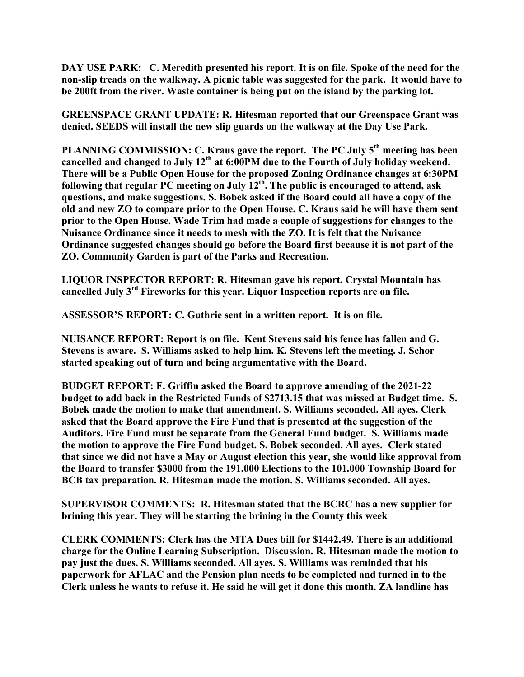**DAY USE PARK: C. Meredith presented his report. It is on file. Spoke of the need for the non-slip treads on the walkway. A picnic table was suggested for the park. It would have to be 200ft from the river. Waste container is being put on the island by the parking lot.**

**GREENSPACE GRANT UPDATE: R. Hitesman reported that our Greenspace Grant was denied. SEEDS will install the new slip guards on the walkway at the Day Use Park.**

**PLANNING COMMISSION: C. Kraus gave the report. The PC July 5th meeting has been cancelled and changed to July 12th at 6:00PM due to the Fourth of July holiday weekend. There will be a Public Open House for the proposed Zoning Ordinance changes at 6:30PM following that regular PC meeting on July 12th. The public is encouraged to attend, ask questions, and make suggestions. S. Bobek asked if the Board could all have a copy of the old and new ZO to compare prior to the Open House. C. Kraus said he will have them sent prior to the Open House. Wade Trim had made a couple of suggestions for changes to the Nuisance Ordinance since it needs to mesh with the ZO. It is felt that the Nuisance Ordinance suggested changes should go before the Board first because it is not part of the ZO. Community Garden is part of the Parks and Recreation.**

**LIQUOR INSPECTOR REPORT: R. Hitesman gave his report. Crystal Mountain has cancelled July 3rd Fireworks for this year. Liquor Inspection reports are on file.**

**ASSESSOR'S REPORT: C. Guthrie sent in a written report. It is on file.**

**NUISANCE REPORT: Report is on file. Kent Stevens said his fence has fallen and G. Stevens is aware. S. Williams asked to help him. K. Stevens left the meeting. J. Schor started speaking out of turn and being argumentative with the Board.**

**BUDGET REPORT: F. Griffin asked the Board to approve amending of the 2021-22 budget to add back in the Restricted Funds of \$2713.15 that was missed at Budget time. S. Bobek made the motion to make that amendment. S. Williams seconded. All ayes. Clerk asked that the Board approve the Fire Fund that is presented at the suggestion of the Auditors. Fire Fund must be separate from the General Fund budget. S. Williams made the motion to approve the Fire Fund budget. S. Bobek seconded. All ayes. Clerk stated that since we did not have a May or August election this year, she would like approval from the Board to transfer \$3000 from the 191.000 Elections to the 101.000 Township Board for BCB tax preparation. R. Hitesman made the motion. S. Williams seconded. All ayes.**

**SUPERVISOR COMMENTS: R. Hitesman stated that the BCRC has a new supplier for brining this year. They will be starting the brining in the County this week**

**CLERK COMMENTS: Clerk has the MTA Dues bill for \$1442.49. There is an additional charge for the Online Learning Subscription. Discussion. R. Hitesman made the motion to pay just the dues. S. Williams seconded. All ayes. S. Williams was reminded that his paperwork for AFLAC and the Pension plan needs to be completed and turned in to the Clerk unless he wants to refuse it. He said he will get it done this month. ZA landline has**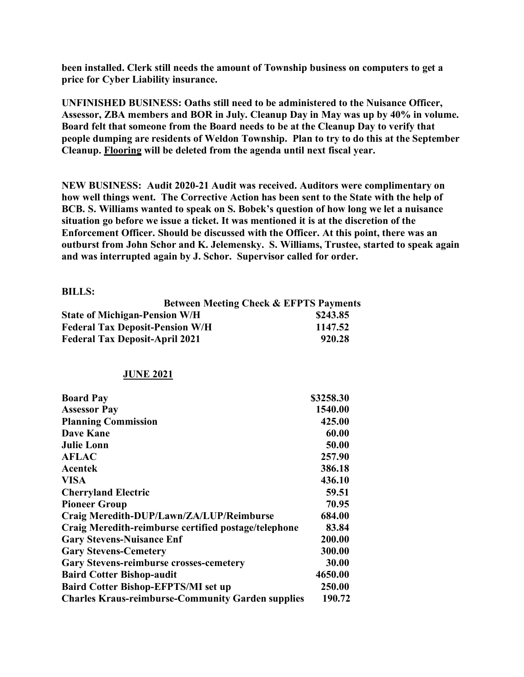**been installed. Clerk still needs the amount of Township business on computers to get a price for Cyber Liability insurance.**

**UNFINISHED BUSINESS: Oaths still need to be administered to the Nuisance Officer, Assessor, ZBA members and BOR in July. Cleanup Day in May was up by 40% in volume. Board felt that someone from the Board needs to be at the Cleanup Day to verify that people dumping are residents of Weldon Township. Plan to try to do this at the September Cleanup. Flooring will be deleted from the agenda until next fiscal year.**

**NEW BUSINESS: Audit 2020-21 Audit was received. Auditors were complimentary on how well things went. The Corrective Action has been sent to the State with the help of BCB. S. Williams wanted to speak on S. Bobek's question of how long we let a nuisance situation go before we issue a ticket. It was mentioned it is at the discretion of the Enforcement Officer. Should be discussed with the Officer. At this point, there was an outburst from John Schor and K. Jelemensky. S. Williams, Trustee, started to speak again and was interrupted again by J. Schor. Supervisor called for order.**

## **BILLS:**

| <b>Between Meeting Check &amp; EFPTS Payments</b> |          |
|---------------------------------------------------|----------|
| <b>State of Michigan-Pension W/H</b>              | \$243.85 |
| <b>Federal Tax Deposit-Pension W/H</b>            | 1147.52  |
| <b>Federal Tax Deposit-April 2021</b>             | 920.28   |

## **JUNE 2021**

| <b>Board Pay</b>                                         | \$3258.30 |
|----------------------------------------------------------|-----------|
| <b>Assessor Pay</b>                                      | 1540.00   |
| <b>Planning Commission</b>                               | 425.00    |
| <b>Dave Kane</b>                                         | 60.00     |
| <b>Julie Lonn</b>                                        | 50.00     |
| <b>AFLAC</b>                                             | 257.90    |
| Acentek                                                  | 386.18    |
| <b>VISA</b>                                              | 436.10    |
| <b>Cherryland Electric</b>                               | 59.51     |
| <b>Pioneer Group</b>                                     | 70.95     |
| Craig Meredith-DUP/Lawn/ZA/LUP/Reimburse                 | 684.00    |
| Craig Meredith-reimburse certified postage/telephone     | 83.84     |
| <b>Gary Stevens-Nuisance Enf</b>                         | 200.00    |
| <b>Gary Stevens-Cemetery</b>                             | 300.00    |
| <b>Gary Stevens-reimburse crosses-cemetery</b>           | 30.00     |
| <b>Baird Cotter Bishop-audit</b>                         | 4650.00   |
| <b>Baird Cotter Bishop-EFPTS/MI set up</b>               | 250.00    |
| <b>Charles Kraus-reimburse-Community Garden supplies</b> | 190.72    |